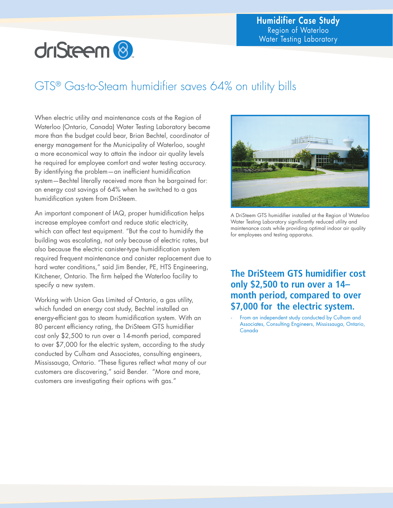# driSteem<sup>8</sup>

### GTS® Gas-to-Steam humidifier saves 64% on utility bills

When electric utility and maintenance costs at the Region of Waterloo (Ontario, Canada) Water Testing Laboratory became more than the budget could bear, Brian Bechtel, coordinator of energy management for the Municipality of Waterloo, sought a more economical way to attain the indoor air quality levels he required for employee comfort and water testing accuracy. By identifying the problem—an inefficient humidification system—Bechtel literally received more than he bargained for: an energy cost savings of 64% when he switched to a gas humidification system from DriSteem.

An important component of IAQ, proper humidification helps increase employee comfort and reduce static electricity, which can affect test equipment. "But the cost to humidify the building was escalating, not only because of electric rates, but also because the electric canister-type humidification system required frequent maintenance and canister replacement due to hard water conditions," said Jim Bender, PE, HTS Engineering, Kitchener, Ontario. The firm helped the Waterloo facility to specify a new system.

Working with Union Gas Limited of Ontario, a gas utility, which funded an energy cost study, Bechtel installed an energy-efficient gas to steam humidification system. With an 80 percent efficiency rating, the DriSteem GTS humidifier cost only \$2,500 to run over a 14-month period, compared to over \$7,000 for the electric system, according to the study conducted by Culham and Associates, consulting engineers, Mississauga, Ontario. "These figures reflect what many of our customers are discovering," said Bender. "More and more, customers are investigating their options with gas."



A DriSteem GTS humidifier installed at the Region of Waterloo Water Testing Laboratory significantly reduced utility and maintenance costs while providing optimal indoor air quality for employees and testing apparatus.

### **The DriSteem GTS humidifier cost only \$2,500 to run over a 14– month period, compared to over \$7,000 for the electric system.**

From an independent study conducted by Culham and Associates, Consulting Engineers, Mississauga, Ontario, Canada